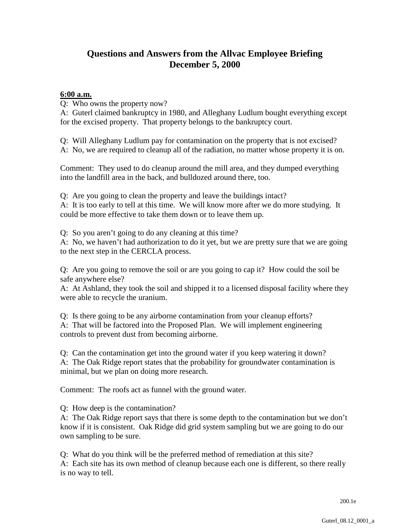## **Questions and Answers from the Allvac Employee Briefing December 5, 2000**

## **6:00 a.m.**

Q: Who owns the property now?

A: Guterl claimed bankruptcy in 1980, and Alleghany Ludlum bought everything except for the excised property. That property belongs to the bankruptcy court.

Q: Will Alleghany Ludlum pay for contamination on the property that is not excised? A: No, we are required to cleanup all of the radiation, no matter whose property it is on.

Comment: They used to do cleanup around the mill area, and they dumped everything into the landfill area in the back, and bulldozed around there, too.

Q: Are you going to clean the property and leave the buildings intact?

A: It is too early to tell at this time. We will know more after we do more studying. It could be more effective to take them down or to leave them up.

Q: So you aren't going to do any cleaning at this time?

A: No, we haven't had authorization to do it yet, but we are pretty sure that we are going to the next step in the CERCLA process.

Q: Are you going to remove the soil or are you going to cap it? How could the soil be safe anywhere else?

A: At Ashland, they took the soil and shipped it to a licensed disposal facility where they were able to recycle the uranium.

Q: Is there going to be any airborne contamination from your cleanup efforts? A: That will be factored into the Proposed Plan. We will implement engineering controls to prevent dust from becoming airborne.

Q: Can the contamination get into the ground water if you keep watering it down? A: The Oak Ridge report states that the probability for groundwater contamination is minimal, but we plan on doing more research.

Comment: The roofs act as funnel with the ground water.

Q: How deep is the contamination?

A: The Oak Ridge report says that there is some depth to the contamination but we don't know if it is consistent. Oak Ridge did grid system sampling but we are going to do our own sampling to be sure.

Q: What do you think will be the preferred method of remediation at this site? A: Each site has its own method of cleanup because each one is different, so there really is no way to tell.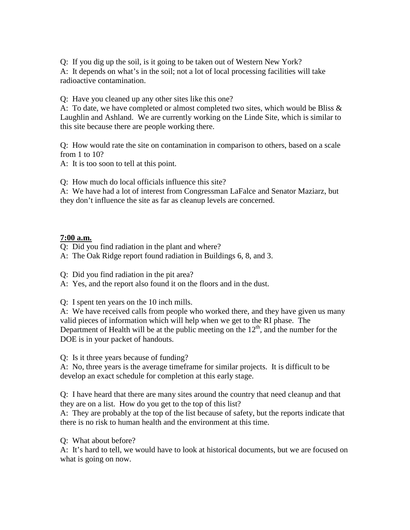Q: If you dig up the soil, is it going to be taken out of Western New York? A: It depends on what's in the soil; not a lot of local processing facilities will take radioactive contamination.

Q: Have you cleaned up any other sites like this one?

A: To date, we have completed or almost completed two sites, which would be Bliss & Laughlin and Ashland. We are currently working on the Linde Site, which is similar to this site because there are people working there.

Q: How would rate the site on contamination in comparison to others, based on a scale from 1 to 10?

A: It is too soon to tell at this point.

Q: How much do local officials influence this site?

A: We have had a lot of interest from Congressman LaFalce and Senator Maziarz, but they don't influence the site as far as cleanup levels are concerned.

## **7:00 a.m.**

Q: Did you find radiation in the plant and where?

A: The Oak Ridge report found radiation in Buildings 6, 8, and 3.

Q: Did you find radiation in the pit area?

A: Yes, and the report also found it on the floors and in the dust.

Q: I spent ten years on the 10 inch mills.

A: We have received calls from people who worked there, and they have given us many valid pieces of information which will help when we get to the RI phase. The Department of Health will be at the public meeting on the  $12<sup>th</sup>$ , and the number for the DOE is in your packet of handouts.

Q: Is it three years because of funding?

A: No, three years is the average timeframe for similar projects. It is difficult to be develop an exact schedule for completion at this early stage.

Q: I have heard that there are many sites around the country that need cleanup and that they are on a list. How do you get to the top of this list?

A: They are probably at the top of the list because of safety, but the reports indicate that there is no risk to human health and the environment at this time.

Q: What about before?

A: It's hard to tell, we would have to look at historical documents, but we are focused on what is going on now.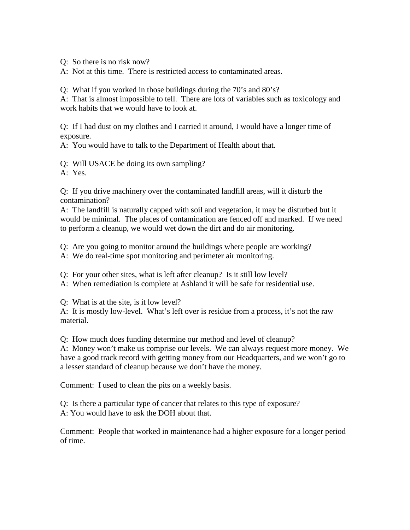Q: So there is no risk now?

A: Not at this time. There is restricted access to contaminated areas.

Q: What if you worked in those buildings during the 70's and 80's?

A: That is almost impossible to tell. There are lots of variables such as toxicology and work habits that we would have to look at.

Q: If I had dust on my clothes and I carried it around, I would have a longer time of exposure.

A: You would have to talk to the Department of Health about that.

Q: Will USACE be doing its own sampling?

A: Yes.

Q: If you drive machinery over the contaminated landfill areas, will it disturb the contamination?

A: The landfill is naturally capped with soil and vegetation, it may be disturbed but it would be minimal. The places of contamination are fenced off and marked. If we need to perform a cleanup, we would wet down the dirt and do air monitoring.

Q: Are you going to monitor around the buildings where people are working?

A: We do real-time spot monitoring and perimeter air monitoring.

Q: For your other sites, what is left after cleanup? Is it still low level?

A: When remediation is complete at Ashland it will be safe for residential use.

Q: What is at the site, is it low level?

A: It is mostly low-level. What's left over is residue from a process, it's not the raw material.

Q: How much does funding determine our method and level of cleanup?

A: Money won't make us comprise our levels. We can always request more money. We have a good track record with getting money from our Headquarters, and we won't go to a lesser standard of cleanup because we don't have the money.

Comment: I used to clean the pits on a weekly basis.

Q: Is there a particular type of cancer that relates to this type of exposure? A: You would have to ask the DOH about that.

Comment: People that worked in maintenance had a higher exposure for a longer period of time.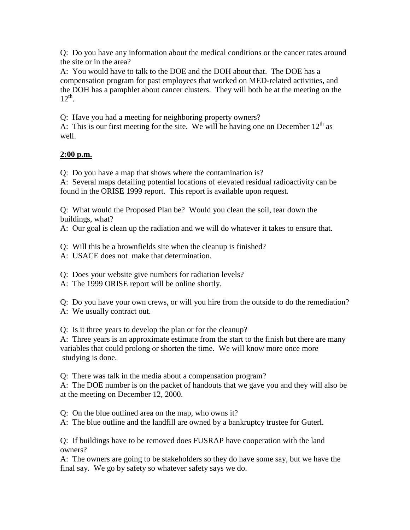Q: Do you have any information about the medical conditions or the cancer rates around the site or in the area?

A: You would have to talk to the DOE and the DOH about that. The DOE has a compensation program for past employees that worked on MED-related activities, and the DOH has a pamphlet about cancer clusters. They will both be at the meeting on the  $12^{th}$ .

Q: Have you had a meeting for neighboring property owners?

A: This is our first meeting for the site. We will be having one on December  $12<sup>th</sup>$  as well.

## **2:00 p.m.**

Q: Do you have a map that shows where the contamination is?

A: Several maps detailing potential locations of elevated residual radioactivity can be found in the ORISE 1999 report. This report is available upon request.

Q: What would the Proposed Plan be? Would you clean the soil, tear down the buildings, what?

A: Our goal is clean up the radiation and we will do whatever it takes to ensure that.

Q: Will this be a brownfields site when the cleanup is finished?

A: USACE does not make that determination.

Q: Does your website give numbers for radiation levels?

A: The 1999 ORISE report will be online shortly.

Q: Do you have your own crews, or will you hire from the outside to do the remediation? A: We usually contract out.

Q: Is it three years to develop the plan or for the cleanup?

A: Three years is an approximate estimate from the start to the finish but there are many variables that could prolong or shorten the time. We will know more once more studying is done.

Q: There was talk in the media about a compensation program?

A: The DOE number is on the packet of handouts that we gave you and they will also be at the meeting on December 12, 2000.

Q: On the blue outlined area on the map, who owns it?

A: The blue outline and the landfill are owned by a bankruptcy trustee for Guterl.

Q: If buildings have to be removed does FUSRAP have cooperation with the land owners?

A: The owners are going to be stakeholders so they do have some say, but we have the final say. We go by safety so whatever safety says we do.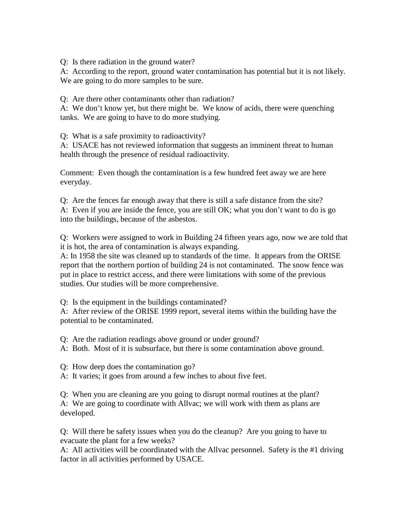Q: Is there radiation in the ground water?

A: According to the report, ground water contamination has potential but it is not likely. We are going to do more samples to be sure.

Q: Are there other contaminants other than radiation?

A: We don't know yet, but there might be. We know of acids, there were quenching tanks. We are going to have to do more studying.

Q: What is a safe proximity to radioactivity?

A: USACE has not reviewed information that suggests an imminent threat to human health through the presence of residual radioactivity.

Comment: Even though the contamination is a few hundred feet away we are here everyday.

Q: Are the fences far enough away that there is still a safe distance from the site? A: Even if you are inside the fence, you are still OK; what you don't want to do is go into the buildings, because of the asbestos.

Q: Workers were assigned to work in Building 24 fifteen years ago, now we are told that it is hot, the area of contamination is always expanding.

A: In 1958 the site was cleaned up to standards of the time. It appears from the ORISE report that the northern portion of building 24 is not contaminated. The snow fence was put in place to restrict access, and there were limitations with some of the previous studies. Our studies will be more comprehensive.

Q: Is the equipment in the buildings contaminated?

A: After review of the ORISE 1999 report, several items within the building have the potential to be contaminated.

Q: Are the radiation readings above ground or under ground?

A: Both. Most of it is subsurface, but there is some contamination above ground.

Q: How deep does the contamination go?

A: It varies; it goes from around a few inches to about five feet.

Q: When you are cleaning are you going to disrupt normal routines at the plant? A: We are going to coordinate with Allvac; we will work with them as plans are

developed.

Q: Will there be safety issues when you do the cleanup? Are you going to have to evacuate the plant for a few weeks?

A: All activities will be coordinated with the Allvac personnel. Safety is the #1 driving factor in all activities performed by USACE.